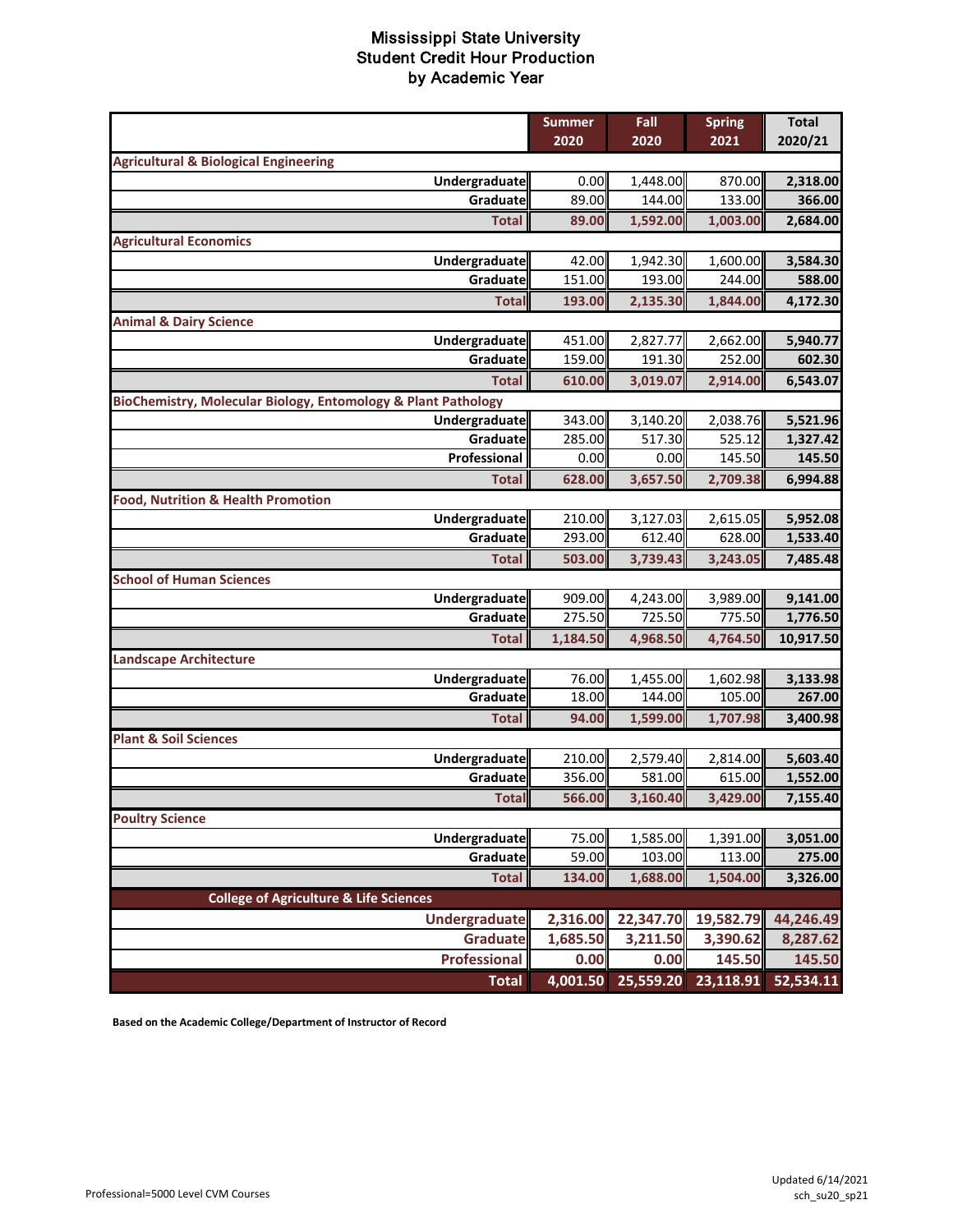|                                                               | <b>Summer</b>    | Fall               | <b>Spring</b>                 | <b>Total</b> |
|---------------------------------------------------------------|------------------|--------------------|-------------------------------|--------------|
|                                                               | 2020             | 2020               | 2021                          | 2020/21      |
| <b>Agricultural &amp; Biological Engineering</b>              |                  |                    |                               |              |
| Undergraduate                                                 | 0.00             | 1,448.00           | 870.00                        | 2,318.00     |
| Graduate                                                      | 89.00            | 144.00             | 133.00                        | 366.00       |
| <b>Total</b>                                                  | 89.00            | 1,592.00           | 1,003.00                      | 2,684.00     |
| <b>Agricultural Economics</b>                                 |                  |                    |                               |              |
| Undergraduate                                                 | 42.00            | 1,942.30           | 1,600.00                      | 3,584.30     |
| Graduate                                                      | 151.00           | 193.00             | 244.00                        | 588.00       |
| <b>Total</b>                                                  | 193.00           | 2,135.30           | 1,844.00                      | 4,172.30     |
| <b>Animal &amp; Dairy Science</b>                             |                  |                    |                               |              |
| Undergraduate                                                 | 451.00           | 2,827.77           | 2,662.00                      | 5,940.77     |
| Graduate                                                      | 159.00           | 191.30             | 252.00                        | 602.30       |
| <b>Total</b>                                                  | 610.00           | 3,019.07           | 2,914.00                      | 6,543.07     |
| BioChemistry, Molecular Biology, Entomology & Plant Pathology |                  |                    |                               |              |
| Undergraduate                                                 | 343.00           | 3,140.20           | 2,038.76                      | 5,521.96     |
| Graduate                                                      | 285.00           | 517.30             | 525.12                        | 1,327.42     |
| Professional                                                  | 0.00             | 0.00               | 145.50                        | 145.50       |
| <b>Total</b>                                                  | 628.00           | 3,657.50           | 2,709.38                      | 6,994.88     |
| <b>Food, Nutrition &amp; Health Promotion</b>                 |                  |                    |                               |              |
| Undergraduate                                                 | 210.00           | 3,127.03           | 2,615.05                      | 5,952.08     |
| Graduate                                                      | 293.00           | 612.40             | 628.00                        | 1,533.40     |
| <b>Total</b>                                                  | 503.00           | 3,739.43           | 3,243.05                      | 7,485.48     |
| <b>School of Human Sciences</b>                               |                  |                    |                               |              |
| Undergraduate                                                 | 909.00           | 4,243.00           | 3,989.00                      | 9,141.00     |
| Graduate                                                      | 275.50           | 725.50             | 775.50                        | 1,776.50     |
| <b>Total</b>                                                  | 1,184.50         | 4,968.50           | 4,764.50                      | 10,917.50    |
| <b>Landscape Architecture</b>                                 |                  |                    |                               |              |
| Undergraduate                                                 | 76.00            | 1,455.00           | 1,602.98                      | 3,133.98     |
| Graduate                                                      | 18.00            | 144.00             | 105.00                        | 267.00       |
| <b>Total</b>                                                  | 94.00            | 1,599.00           | 1,707.98                      | 3,400.98     |
| <b>Plant &amp; Soil Sciences</b>                              |                  |                    |                               |              |
| Undergraduate                                                 | 210.00<br>356.00 | 2,579.40<br>581.00 | 2,814.00<br>615.00            | 5,603.40     |
| Graduate                                                      |                  |                    |                               | 1,552.00     |
| <b>Total</b>                                                  | 566.00           | 3,160.40           | 3,429.00                      | 7,155.40     |
| <b>Poultry Science</b>                                        |                  |                    |                               |              |
| Undergraduate<br>Graduate                                     | 75.00<br>59.00   | 1,585.00           | 1,391.00                      | 3,051.00     |
|                                                               |                  | 103.00             | 113.00                        | 275.00       |
| <b>Total</b>                                                  | 134.00           | 1,688.00           | 1,504.00                      | 3,326.00     |
| <b>College of Agriculture &amp; Life Sciences</b>             |                  |                    |                               |              |
| <b>Undergraduate</b>                                          | 2,316.00         | 22,347.70          | 19,582.79                     | 44,246.49    |
| <b>Graduate</b>                                               | 1,685.50         | 3,211.50           | 3,390.62                      | 8,287.62     |
| <b>Professional</b>                                           | 0.00             | 0.00               | 145.50                        | 145.50       |
| <b>Total</b>                                                  | 4,001.50         |                    | 25,559.20 23,118.91 52,534.11 |              |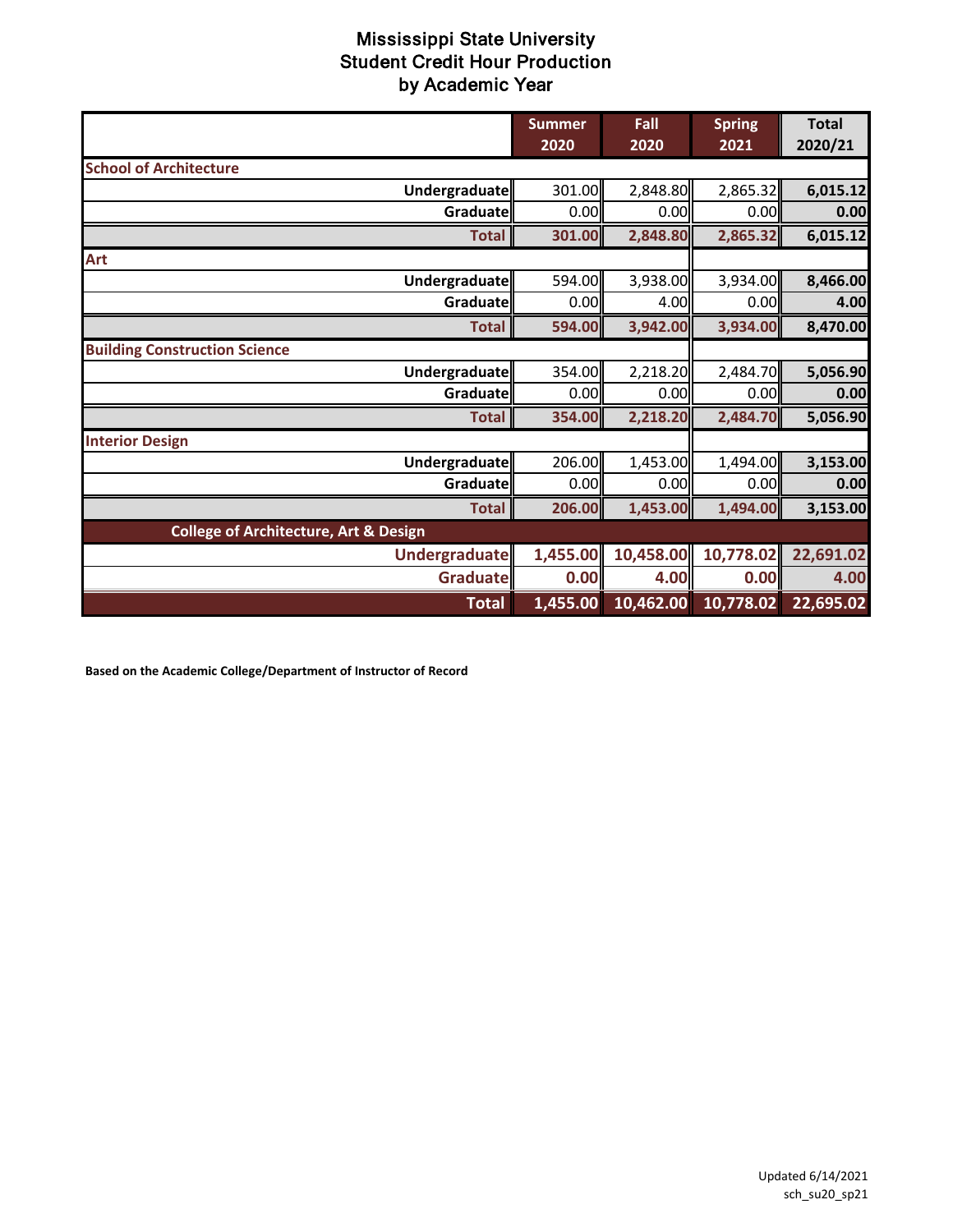|                                                  | <b>Summer</b><br>2020 | Fall<br>2020 | <b>Spring</b><br>2021 | <b>Total</b><br>2020/21 |
|--------------------------------------------------|-----------------------|--------------|-----------------------|-------------------------|
| <b>School of Architecture</b>                    |                       |              |                       |                         |
| Undergraduate                                    | 301.00                | 2,848.80     | 2,865.32              | 6,015.12                |
| Graduate                                         | 0.00                  | 0.00         | 0.00                  | 0.00                    |
| <b>Total</b>                                     | 301.00                | 2,848.80     | 2,865.32              | 6,015.12                |
| Art                                              |                       |              |                       |                         |
| Undergraduate                                    | 594.00                | 3,938.00     | 3,934.00              | 8,466.00                |
| Graduate                                         | 0.00                  | 4.00         | 0.00                  | 4.00                    |
| <b>Total</b>                                     | 594.00                | 3,942.00     | 3,934.00              | 8,470.00                |
| <b>Building Construction Science</b>             |                       |              |                       |                         |
| Undergraduate                                    | 354.00                | 2,218.20     | 2,484.70              | 5,056.90                |
| Graduate                                         | 0.00                  | 0.00         | 0.00                  | 0.00                    |
| <b>Total</b>                                     | 354.00                | 2,218.20     | 2,484.70              | 5,056.90                |
| <b>Interior Design</b>                           |                       |              |                       |                         |
| <b>Undergraduate</b>                             | 206.00                | 1,453.00     | 1,494.00              | 3,153.00                |
| Graduate                                         | 0.00                  | 0.00         | 0.00                  | 0.00                    |
| <b>Total</b>                                     | 206.00                | 1,453.00     | 1,494.00              | 3,153.00                |
| <b>College of Architecture, Art &amp; Design</b> |                       |              |                       |                         |
| <b>Undergraduatell</b>                           | 1,455.00              | 10,458.00    | 10,778.02             | 22,691.02               |
| <b>Graduate</b>                                  | 0.00                  | 4.00         | 0.00                  | 4.00                    |
| <b>Total</b>                                     | 1,455.00              | 10,462.00    | 10,778.02             | 22,695.02               |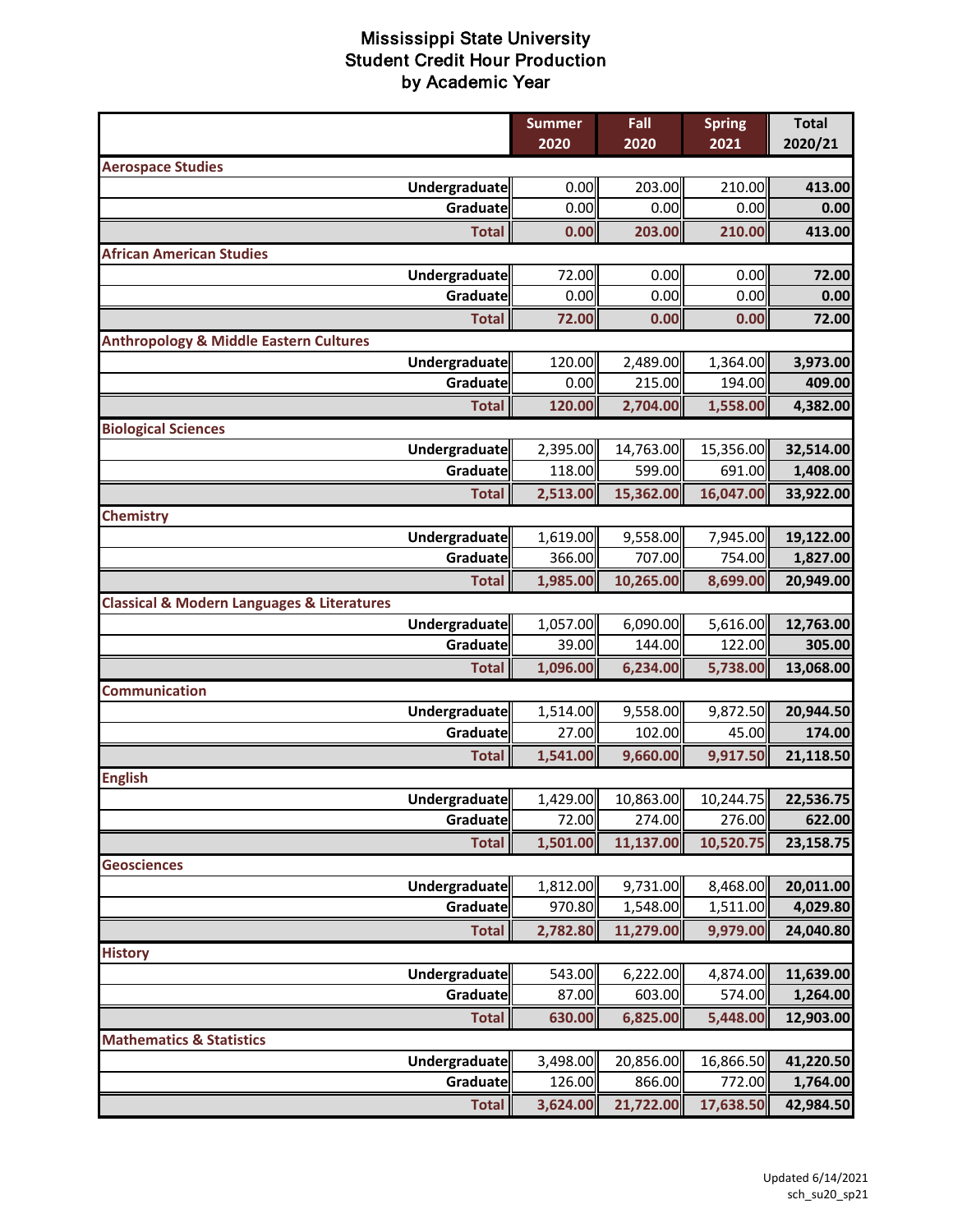|                                                           | <b>Summer</b><br>2020          | Fall<br>2020        | <b>Spring</b><br>2021 | <b>Total</b><br>2020/21 |
|-----------------------------------------------------------|--------------------------------|---------------------|-----------------------|-------------------------|
| <b>Aerospace Studies</b>                                  |                                |                     |                       |                         |
| Undergraduate                                             | 0.00                           | 203.00              | 210.00                | 413.00                  |
|                                                           | 0.00<br>Graduate               | 0.00                | 0.00                  | 0.00                    |
|                                                           | 0.00<br><b>Total</b>           | 203.00              | 210.00                | 413.00                  |
| <b>African American Studies</b>                           |                                |                     |                       |                         |
| <b>Undergraduate</b>                                      | 72.00                          | 0.00                | 0.00                  | 72.00                   |
|                                                           | 0.00<br>Graduate               | 0.00                | 0.00                  | 0.00                    |
|                                                           | 72.00<br><b>Total</b>          | 0.00                | 0.00                  | 72.00                   |
| <b>Anthropology &amp; Middle Eastern Cultures</b>         |                                |                     |                       |                         |
| Undergraduate                                             | 120.00                         | 2,489.00            | 1,364.00              | 3,973.00                |
|                                                           | 0.00<br>Graduate               | 215.00              | 194.00                | 409.00                  |
|                                                           | 120.00<br><b>Total</b>         | 2,704.00            | 1,558.00              | 4,382.00                |
| <b>Biological Sciences</b>                                |                                |                     |                       |                         |
| Undergraduate                                             | 2,395.00                       | 14,763.00           | 15,356.00             | 32,514.00               |
|                                                           | 118.00<br>Graduate             | 599.00              | 691.00                | 1,408.00                |
|                                                           | 2,513.00<br><b>Total</b>       | 15,362.00           | 16,047.00             | 33,922.00               |
| <b>Chemistry</b>                                          |                                |                     |                       |                         |
| Undergraduate                                             | 1,619.00                       | 9,558.00            | 7,945.00              | 19,122.00               |
|                                                           | 366.00<br>Graduate             | 707.00              | 754.00                | 1,827.00                |
|                                                           | 1,985.00<br><b>Total</b>       | 10,265.00           | 8,699.00              | 20,949.00               |
| <b>Classical &amp; Modern Languages &amp; Literatures</b> |                                |                     |                       |                         |
| Undergraduate                                             | 1,057.00                       | 6,090.00            | 5,616.00              | 12,763.00               |
|                                                           | Graduate<br>39.00              | 144.00              | 122.00                | 305.00                  |
|                                                           | 1,096.00<br><b>Total</b>       | 6,234.00            | 5,738.00              | 13,068.00               |
| <b>Communication</b>                                      |                                |                     |                       |                         |
| Undergraduate                                             | 1,514.00                       | 9,558.00            | 9,872.50              | 20,944.50               |
|                                                           | 27.00<br>Graduate              | 102.00              | 45.00                 | 174.00                  |
|                                                           | 1,541.00<br><b>Total</b>       | 9,660.00            | 9,917.50              | 21,118.50               |
| <b>English</b>                                            |                                |                     |                       |                         |
| Undergraduate                                             | 1,429.00                       | 10,863.00           | 10,244.75             | 22,536.75               |
|                                                           | 72.00<br>Graduate              | 274.00              | 276.00                | 622.00                  |
|                                                           | <b>Total</b><br>1,501.00       | 11,137.00           | 10,520.75             | 23,158.75               |
| <b>Geosciences</b>                                        |                                |                     |                       |                         |
| Undergraduate                                             | 1,812.00                       | 9,731.00            | 8,468.00              | 20,011.00               |
|                                                           | Graduate<br>970.80             | 1,548.00            | 1,511.00              | 4,029.80                |
|                                                           | 2,782.80<br><b>Total</b>       | 11,279.00           | 9,979.00              | 24,040.80               |
| <b>History</b>                                            |                                |                     |                       |                         |
| <b>Undergraduate</b>                                      | 543.00<br>87.00<br>Graduate    | 6,222.00<br>603.00  | 4,874.00<br>574.00    | 11,639.00               |
|                                                           |                                |                     |                       | 1,264.00                |
|                                                           | 630.00<br><b>Total</b>         | 6,825.00            | 5,448.00              | 12,903.00               |
| <b>Mathematics &amp; Statistics</b>                       |                                |                     |                       |                         |
| <b>Undergraduate</b>                                      | 3,498.00<br>126.00<br>Graduate | 20,856.00<br>866.00 | 16,866.50<br>772.00   | 41,220.50<br>1,764.00   |
|                                                           | <b>Total</b>                   | 21,722.00           | 17,638.50             |                         |
|                                                           | 3,624.00                       |                     |                       | 42,984.50               |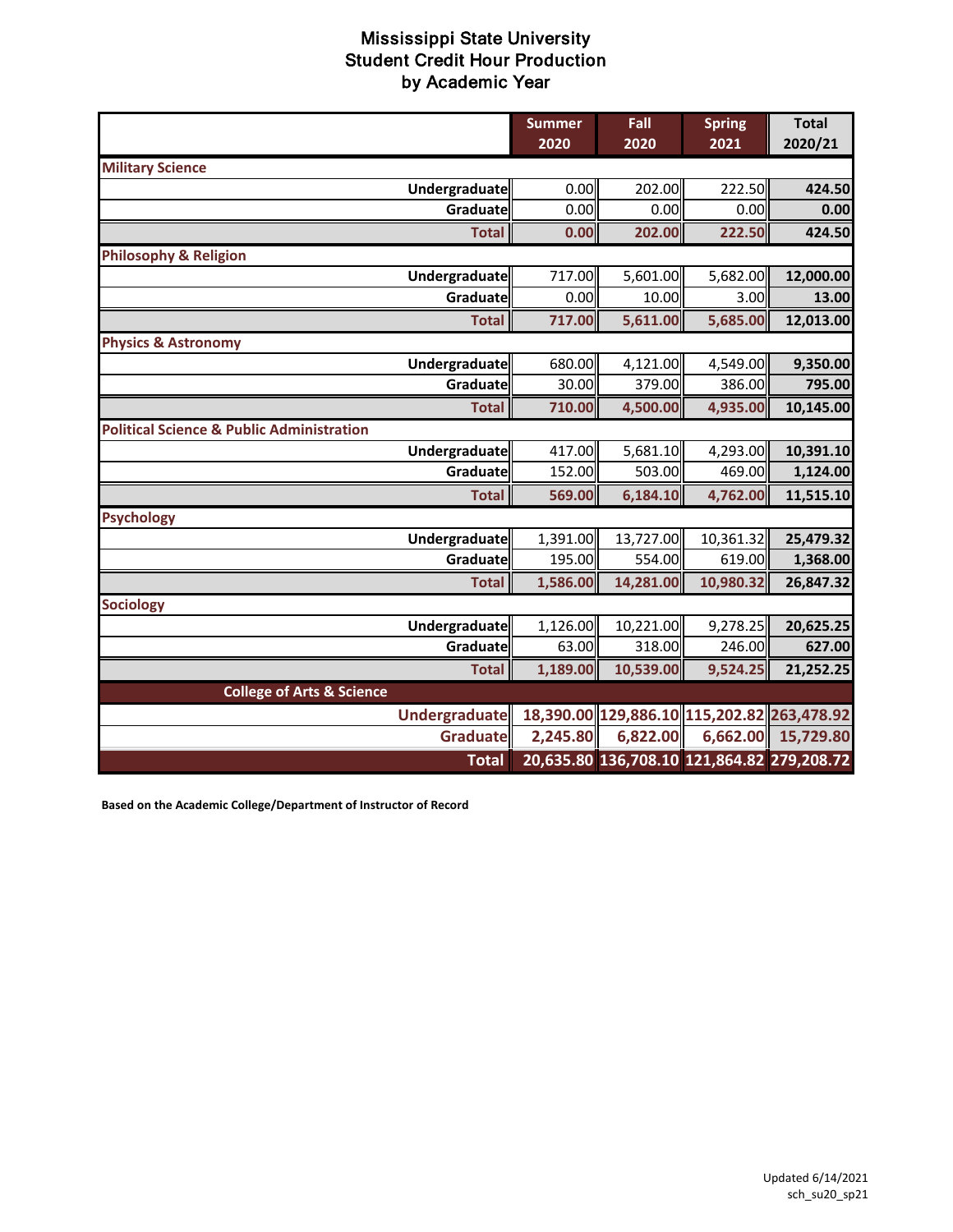|                                                      | <b>Summer</b><br>2020 | Fall<br>2020                               | <b>Spring</b><br>2021 | <b>Total</b><br>2020/21 |
|------------------------------------------------------|-----------------------|--------------------------------------------|-----------------------|-------------------------|
| <b>Military Science</b>                              |                       |                                            |                       |                         |
| <b>Undergraduate</b>                                 | 0.00                  | 202.00                                     | 222.50                | 424.50                  |
| Graduate                                             | 0.00                  | 0.00                                       | 0.00                  | 0.00                    |
| <b>Total</b>                                         | 0.00                  | 202.00                                     | 222.50                | 424.50                  |
| <b>Philosophy &amp; Religion</b>                     |                       |                                            |                       |                         |
| Undergraduate                                        | 717.00                | 5,601.00                                   | 5,682.00              | 12,000.00               |
| Graduate                                             | 0.00                  | 10.00                                      | 3.00                  | 13.00                   |
| <b>Total</b>                                         | 717.00                | 5,611.00                                   | 5,685.00              | 12,013.00               |
| <b>Physics &amp; Astronomy</b>                       |                       |                                            |                       |                         |
| <b>Undergraduate</b>                                 | 680.00                | 4,121.00                                   | 4,549.00              | 9,350.00                |
| Graduate                                             | 30.00                 | 379.00                                     | 386.00                | 795.00                  |
| <b>Total</b>                                         | 710.00                | 4,500.00                                   | 4,935.00              | 10,145.00               |
| <b>Political Science &amp; Public Administration</b> |                       |                                            |                       |                         |
| <b>Undergraduate</b>                                 | 417.00                | 5,681.10                                   | 4,293.00              | 10,391.10               |
| Graduate                                             | 152.00                | 503.00                                     | 469.00                | 1,124.00                |
| <b>Total</b>                                         | 569.00                | 6,184.10                                   | 4,762.00              | 11,515.10               |
| <b>Psychology</b>                                    |                       |                                            |                       |                         |
| <b>Undergraduate</b>                                 | 1,391.00              | 13,727.00                                  | 10,361.32             | 25,479.32               |
| <b>Graduate</b>                                      | 195.00                | 554.00                                     | 619.00                | 1,368.00                |
| <b>Total</b>                                         | 1,586.00              | 14,281.00                                  | 10,980.32             | 26,847.32               |
| <b>Sociology</b>                                     |                       |                                            |                       |                         |
| <b>Undergraduate</b>                                 | 1,126.00              | 10,221.00                                  | 9,278.25              | 20,625.25               |
| <b>Graduate</b>                                      | 63.00                 | 318.00                                     | 246.00                | 627.00                  |
| <b>Total</b>                                         | 1,189.00              | 10,539.00                                  | 9,524.25              | 21,252.25               |
| <b>College of Arts &amp; Science</b>                 |                       |                                            |                       |                         |
| <b>Undergraduate</b>                                 |                       | 18,390.00 129,886.10 115,202.82 263,478.92 |                       |                         |
| <b>Graduate</b>                                      | 2,245.80              | 6,822.00                                   | 6,662.00              | 15,729.80               |
| <b>Total</b>                                         |                       | 20,635.80 136,708.10 121,864.82 279,208.72 |                       |                         |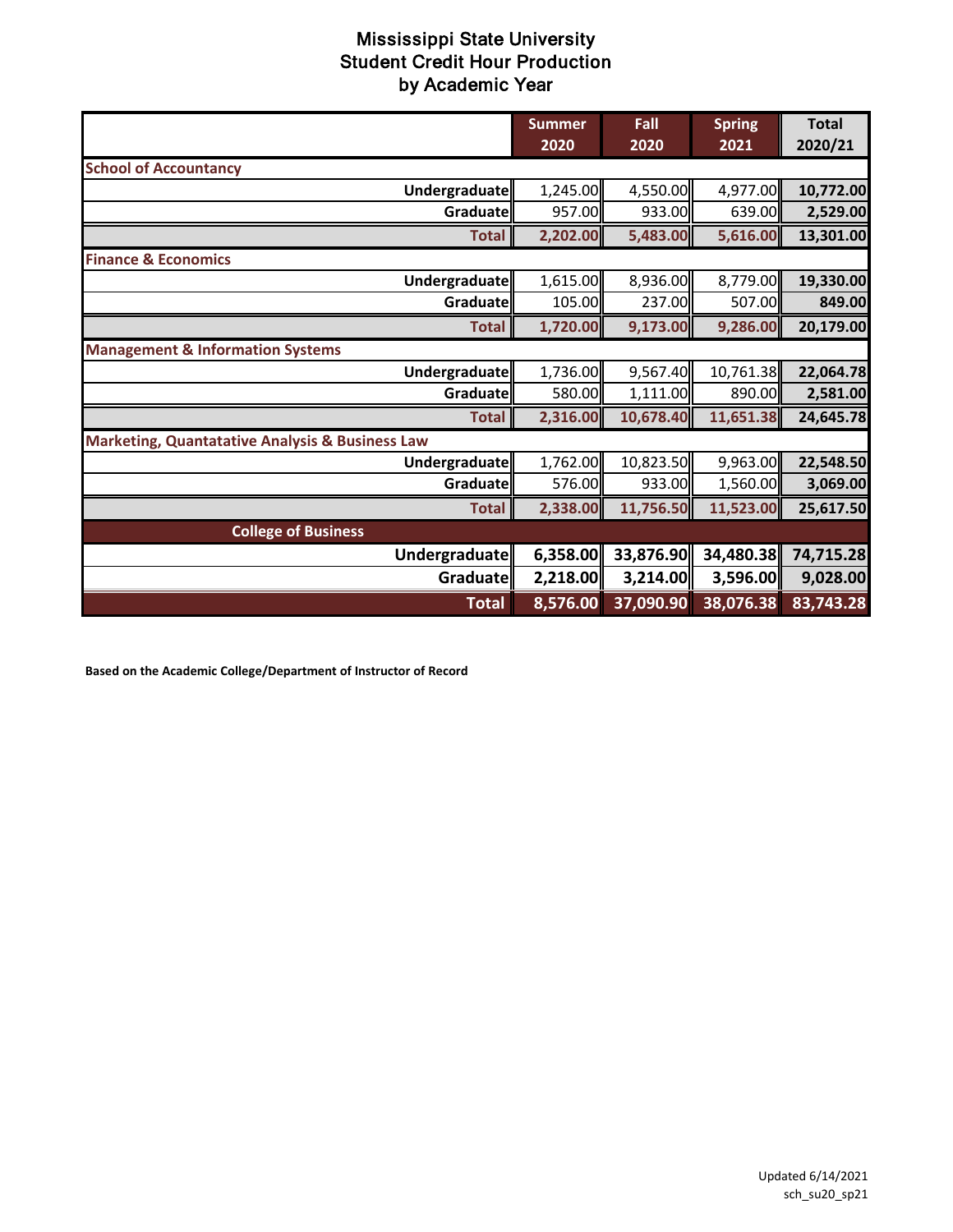|                                                            | <b>Summer</b><br>2020 | Fall<br>2020 | <b>Spring</b><br>2021 | <b>Total</b><br>2020/21 |
|------------------------------------------------------------|-----------------------|--------------|-----------------------|-------------------------|
| <b>School of Accountancy</b>                               |                       |              |                       |                         |
| Undergraduate                                              | 1,245.00              | 4,550.00     | 4,977.00              | 10,772.00               |
| Graduate                                                   | 957.00                | 933.00       | 639.00                | 2,529.00                |
| <b>Total</b>                                               | 2,202.00              | 5,483.00     | 5,616.00              | 13,301.00               |
| <b>Finance &amp; Economics</b>                             |                       |              |                       |                         |
| Undergraduate                                              | 1,615.00              | 8,936.00     | 8,779.00              | 19,330.00               |
| Graduate                                                   | 105.00                | 237.00       | 507.00                | 849.00                  |
| <b>Total</b>                                               | 1,720.00              | 9,173.00     | 9,286.00              | 20,179.00               |
| <b>Management &amp; Information Systems</b>                |                       |              |                       |                         |
| Undergraduate                                              | 1,736.00              | 9,567.40     | 10,761.38             | 22,064.78               |
| Graduate                                                   | 580.00                | 1,111.00     | 890.00                | 2,581.00                |
| <b>Total</b>                                               | 2,316.00              | 10,678.40    | 11,651.38             | 24,645.78               |
| <b>Marketing, Quantatative Analysis &amp; Business Law</b> |                       |              |                       |                         |
| Undergraduate                                              | 1,762.00              | 10,823.50    | 9,963.00              | 22,548.50               |
| Graduate                                                   | 576.00                | 933.00       | 1,560.00              | 3,069.00                |
| <b>Total</b>                                               | 2,338.00              | 11,756.50    | 11,523.00             | 25,617.50               |
| <b>College of Business</b>                                 |                       |              |                       |                         |
| Undergraduate                                              | 6,358.00              | 33,876.90    | 34,480.38             | 74,715.28               |
| Graduate                                                   | 2,218.00              | 3,214.00     | 3,596.00              | 9,028.00                |
| <b>Total</b>                                               | 8,576.00              | 37,090.90    | 38,076.38             | 83,743.28               |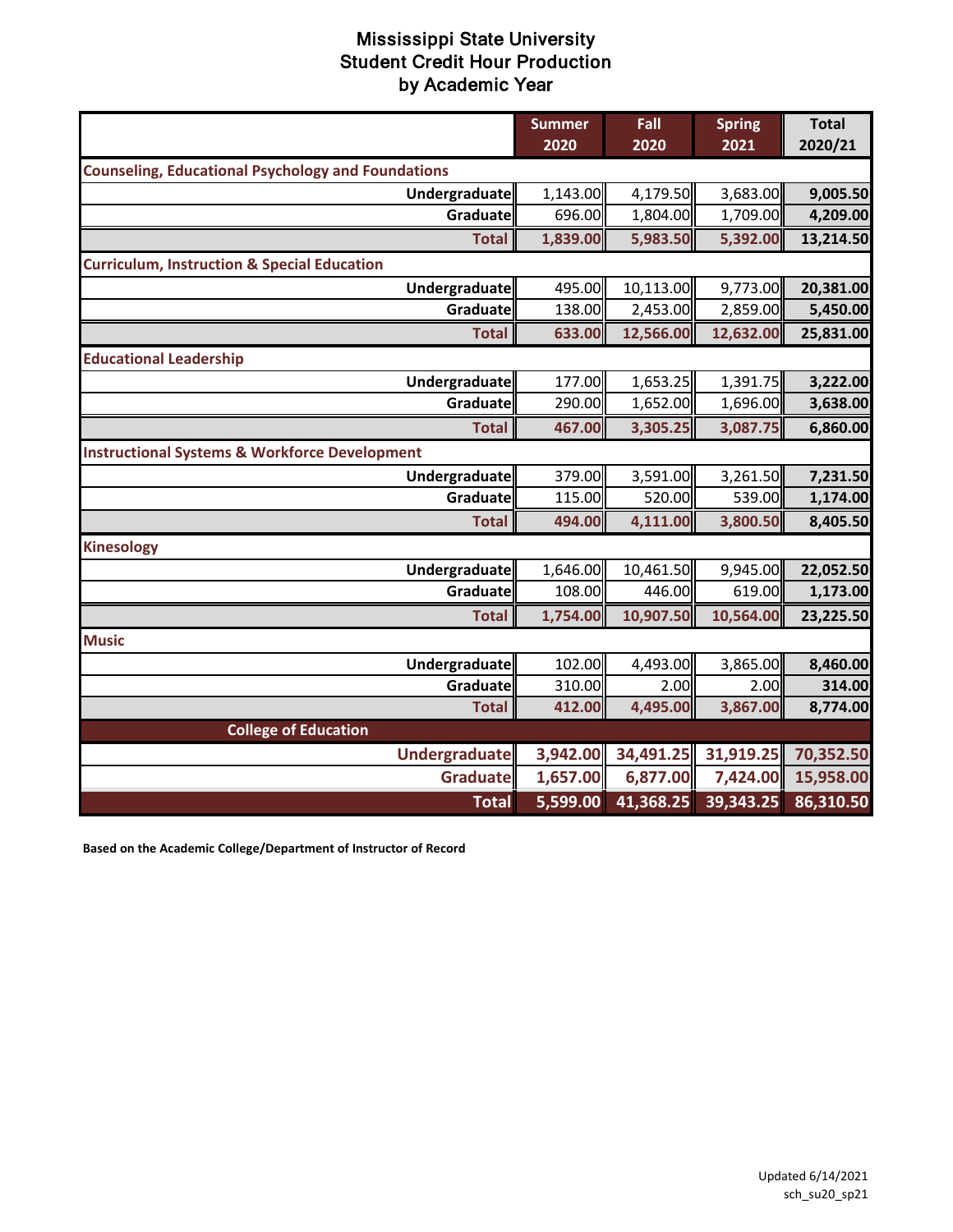|                                                           | <b>Summer</b><br>2020 | Fall<br>2020 | <b>Spring</b><br>2021 | <b>Total</b><br>2020/21 |
|-----------------------------------------------------------|-----------------------|--------------|-----------------------|-------------------------|
| <b>Counseling, Educational Psychology and Foundations</b> |                       |              |                       |                         |
| <b>Undergraduate</b>                                      | 1,143.00              | 4,179.50     | 3,683.00              | 9,005.50                |
| Graduate                                                  | 696.00                | 1,804.00     | 1,709.00              | 4,209.00                |
| <b>Total</b>                                              | 1,839.00              | 5,983.50     | 5,392.00              | 13,214.50               |
| <b>Curriculum, Instruction &amp; Special Education</b>    |                       |              |                       |                         |
| <b>Undergraduate</b>                                      | 495.00                | 10,113.00    | 9,773.00              | 20,381.00               |
| Graduate                                                  | 138.00                | 2,453.00     | 2,859.00              | 5,450.00                |
| <b>Total</b>                                              | 633.00                | 12,566.00    | 12,632.00             | 25,831.00               |
| <b>Educational Leadership</b>                             |                       |              |                       |                         |
| Undergraduate                                             | 177.00                | 1,653.25     | 1,391.75              | 3,222.00                |
| Graduate                                                  | 290.00                | 1,652.00     | 1,696.00              | 3,638.00                |
| <b>Total</b>                                              | 467.00                | 3,305.25     | 3,087.75              | 6,860.00                |
| <b>Instructional Systems &amp; Workforce Development</b>  |                       |              |                       |                         |
| <b>Undergraduate</b>                                      | 379.00                | 3,591.00     | 3,261.50              | 7,231.50                |
| Graduate                                                  | 115.00                | 520.00       | 539.00                | 1,174.00                |
| <b>Total</b>                                              | 494.00                | 4,111.00     | 3,800.50              | 8,405.50                |
| <b>Kinesology</b>                                         |                       |              |                       |                         |
| <b>Undergraduate</b>                                      | 1,646.00              | 10,461.50    | 9,945.00              | 22,052.50               |
| Graduate                                                  | 108.00                | 446.00       | 619.00                | 1,173.00                |
| <b>Total</b>                                              | 1,754.00              | 10,907.50    | 10,564.00             | 23,225.50               |
| <b>Music</b>                                              |                       |              |                       |                         |
| <b>Undergraduate</b>                                      | 102.00                | 4,493.00     | 3,865.00              | 8,460.00                |
| Graduate                                                  | 310.00                | 2.00         | 2.00                  | 314.00                  |
| <b>Total</b>                                              | 412.00                | 4,495.00     | 3,867.00              | 8,774.00                |
| <b>College of Education</b>                               |                       |              |                       |                         |
| Undergraduate                                             | 3,942.00              | 34,491.25    | 31,919.25             | 70,352.50               |
| <b>Graduate</b>                                           | 1,657.00              | 6,877.00     | 7,424.00              | 15,958.00               |
| <b>Total</b>                                              | 5,599.00              | 41,368.25    | 39,343.25             | 86,310.50               |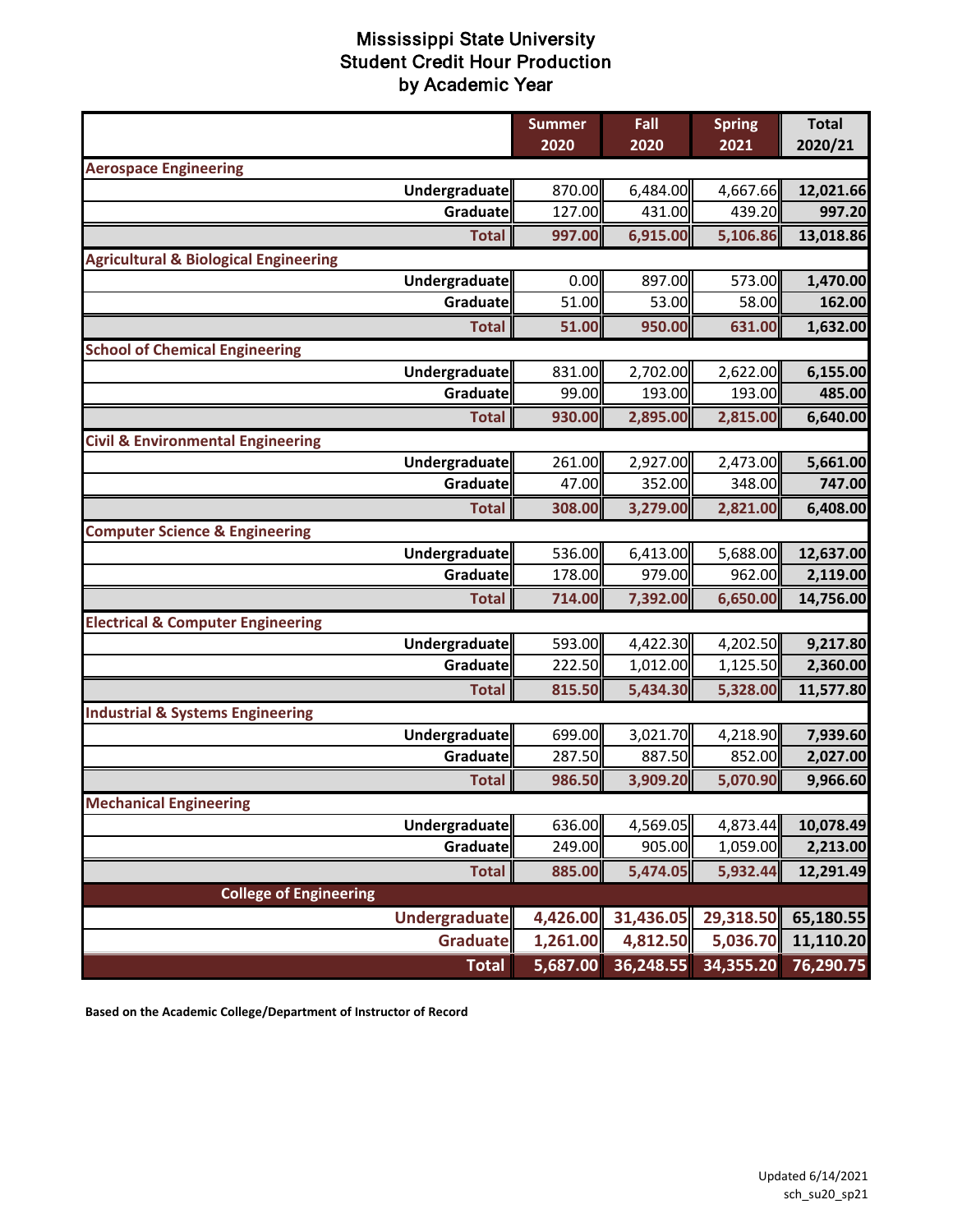|                                                  | <b>Summer</b> | Fall      | <b>Spring</b> | <b>Total</b> |
|--------------------------------------------------|---------------|-----------|---------------|--------------|
|                                                  | 2020          | 2020      | 2021          | 2020/21      |
| <b>Aerospace Engineering</b>                     |               |           |               |              |
| Undergraduate                                    | 870.00        | 6,484.00  | 4,667.66      | 12,021.66    |
| Graduate                                         | 127.00        | 431.00    | 439.20        | 997.20       |
| <b>Total</b>                                     | 997.00        | 6,915.00  | 5,106.86      | 13,018.86    |
| <b>Agricultural &amp; Biological Engineering</b> |               |           |               |              |
| Undergraduate                                    | 0.00          | 897.00    | 573.00        | 1,470.00     |
| Graduate                                         | 51.00         | 53.00     | 58.00         | 162.00       |
| <b>Total</b>                                     | 51.00         | 950.00    | 631.00        | 1,632.00     |
| <b>School of Chemical Engineering</b>            |               |           |               |              |
| Undergraduate                                    | 831.00        | 2,702.00  | 2,622.00      | 6,155.00     |
| Graduate                                         | 99.00         | 193.00    | 193.00        | 485.00       |
| <b>Total</b>                                     | 930.00        | 2,895.00  | 2,815.00      | 6,640.00     |
| <b>Civil &amp; Environmental Engineering</b>     |               |           |               |              |
| <b>Undergraduate</b>                             | 261.00        | 2,927.00  | 2,473.00      | 5,661.00     |
| Graduate                                         | 47.00         | 352.00    | 348.00        | 747.00       |
| <b>Total</b>                                     | 308.00        | 3,279.00  | 2,821.00      | 6,408.00     |
| <b>Computer Science &amp; Engineering</b>        |               |           |               |              |
| Undergraduate                                    | 536.00        | 6,413.00  | 5,688.00      | 12,637.00    |
| Graduate                                         | 178.00        | 979.00    | 962.00        | 2,119.00     |
| <b>Total</b>                                     | 714.00        | 7,392.00  | 6,650.00      | 14,756.00    |
| <b>Electrical &amp; Computer Engineering</b>     |               |           |               |              |
| Undergraduate                                    | 593.00        | 4,422.30  | 4,202.50      | 9,217.80     |
| Graduate                                         | 222.50        | 1,012.00  | 1,125.50      | 2,360.00     |
| <b>Total</b>                                     | 815.50        | 5,434.30  | 5,328.00      | 11,577.80    |
| <b>Industrial &amp; Systems Engineering</b>      |               |           |               |              |
| Undergraduate                                    | 699.00        | 3,021.70  | 4,218.90      | 7,939.60     |
| Graduate                                         | 287.50        | 887.50    | 852.00        | 2,027.00     |
| <b>Total</b>                                     | 986.50        | 3,909.20  | 5,070.90      | 9,966.60     |
| <b>Mechanical Engineering</b>                    |               |           |               |              |
| Undergraduate                                    | 636.00        | 4,569.05  | 4,873.44      | 10,078.49    |
| Graduate                                         | 249.00        | 905.00    | 1,059.00      | 2,213.00     |
| <b>Total</b>                                     | 885.00        | 5,474.05  | 5,932.44      | 12,291.49    |
| <b>College of Engineering</b>                    |               |           |               |              |
| <b>Undergraduate</b>                             | 4,426.00      | 31,436.05 | 29,318.50     | 65,180.55    |
| Graduate                                         | 1,261.00      | 4,812.50  | 5,036.70      | 11,110.20    |
| <b>Total</b>                                     | 5,687.00      | 36,248.55 | 34,355.20     | 76,290.75    |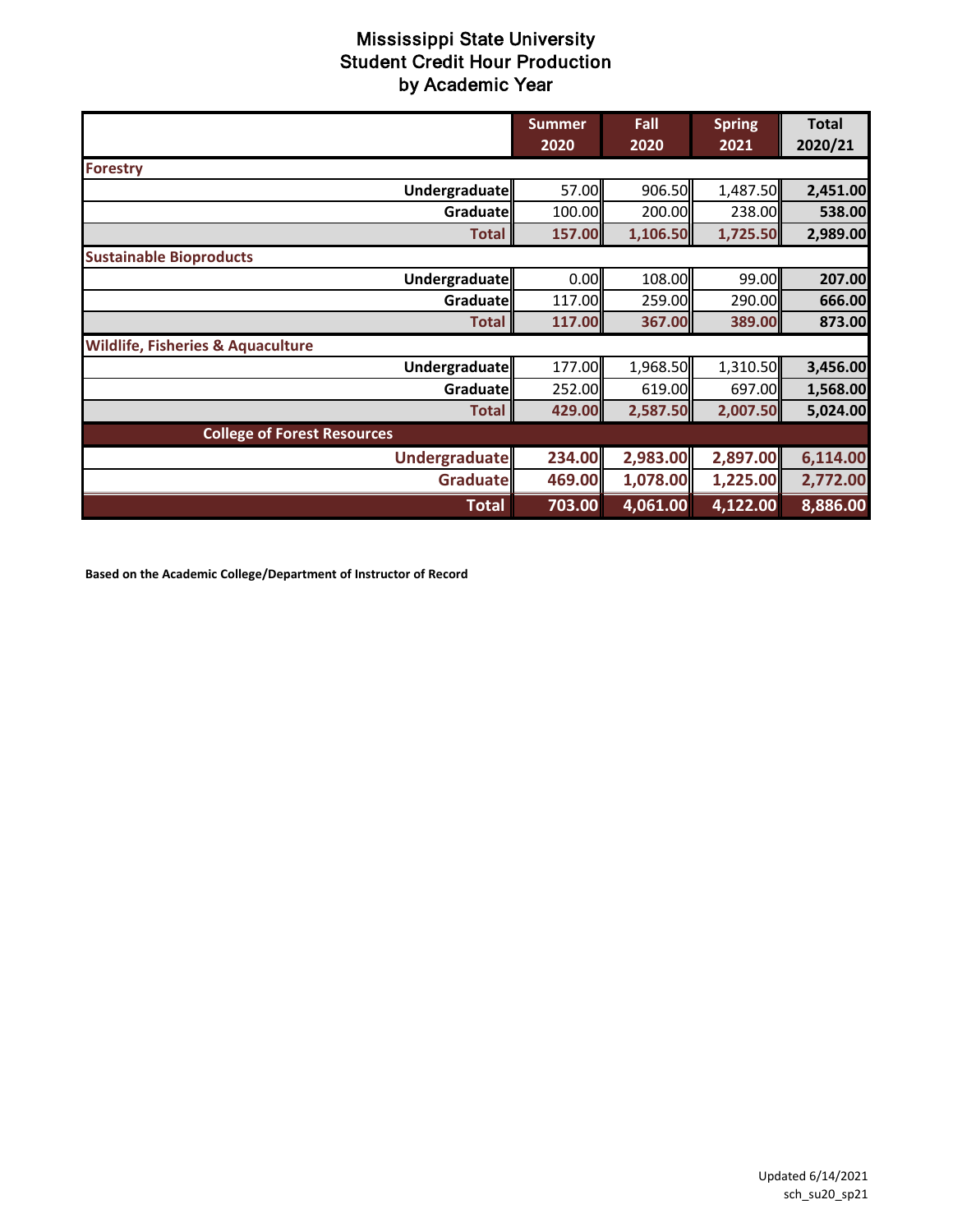|                                              | <b>Summer</b><br>2020 | Fall<br>2020 | <b>Spring</b><br>2021 | <b>Total</b><br>2020/21 |  |
|----------------------------------------------|-----------------------|--------------|-----------------------|-------------------------|--|
|                                              |                       |              |                       |                         |  |
| <b>Forestry</b>                              |                       |              |                       |                         |  |
| <b>Undergraduate</b>                         | 57.00                 | 906.50       | 1,487.50              | 2,451.00                |  |
| Graduate                                     | 100.00                | 200.00       | 238.00                | 538.00                  |  |
| <b>Total</b>                                 | 157.00                | 1,106.50     | 1,725.50              | 2,989.00                |  |
| <b>Sustainable Bioproducts</b>               |                       |              |                       |                         |  |
| Undergraduate                                | 0.00                  | 108.00       | 99.00                 | 207.00                  |  |
| Graduate                                     | 117.00                | 259.00       | 290.00                | 666.00                  |  |
| <b>Total</b>                                 | 117.00                | 367.00       | 389.00                | 873.00                  |  |
| <b>Wildlife, Fisheries &amp; Aquaculture</b> |                       |              |                       |                         |  |
| Undergraduate                                | 177.00                | 1,968.50     | 1,310.50              | 3,456.00                |  |
| Graduate                                     | 252.00                | 619.00       | 697.00                | 1,568.00                |  |
| <b>Total</b>                                 | 429.00                | 2,587.50     | 2,007.50              | 5,024.00                |  |
| <b>College of Forest Resources</b>           |                       |              |                       |                         |  |
| <b>Undergraduate</b>                         | 234.00                | 2,983.00     | 2,897.00              | 6,114.00                |  |
| <b>Graduate</b>                              | 469.00                | 1,078.00     | 1,225.00              | 2,772.00                |  |
| <b>Total</b>                                 | 703.00                | 4,061.00     | 4,122.00              | 8,886.00                |  |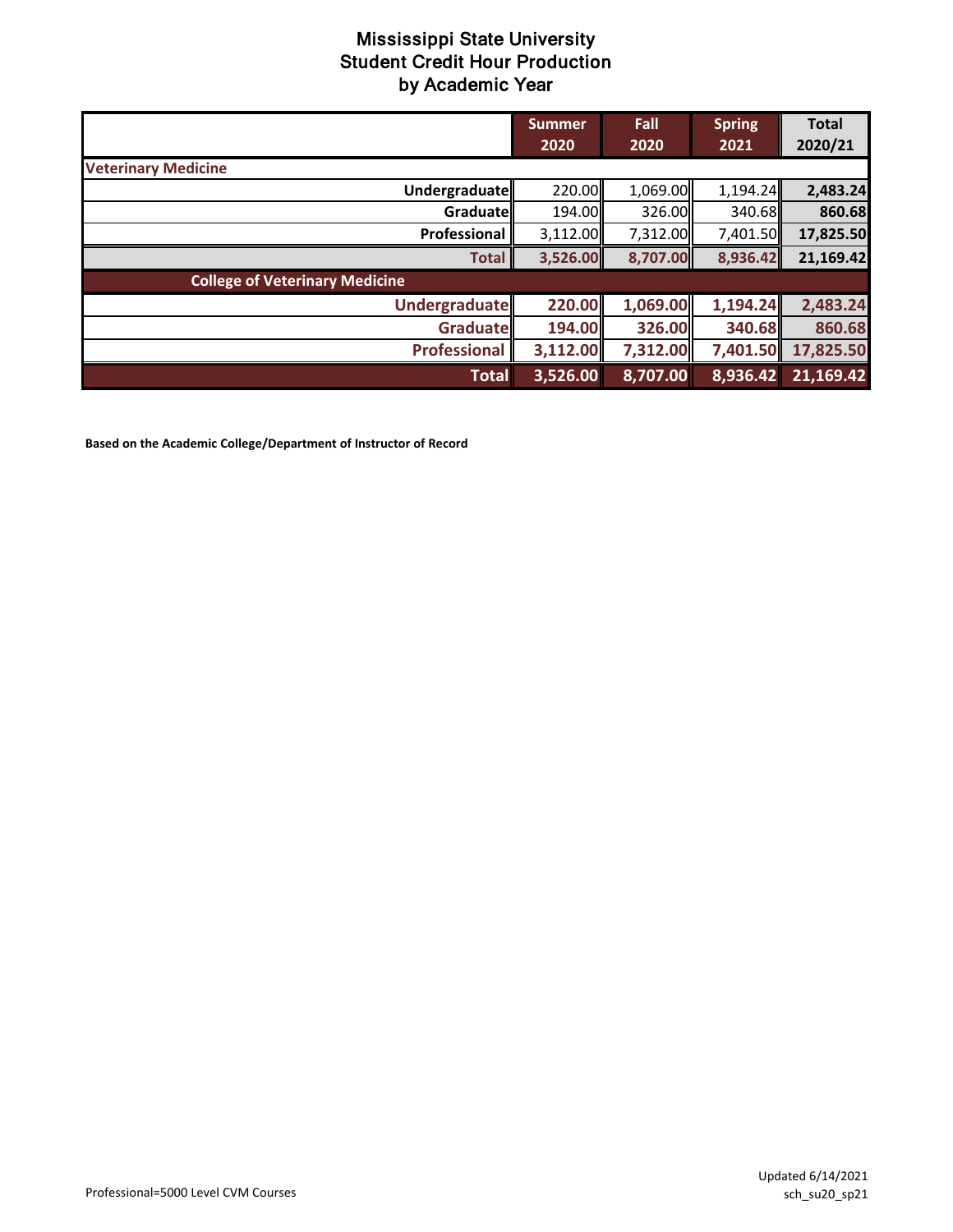|                                       | <b>Summer</b><br>2020 | Fall<br>2020 | <b>Spring</b><br>2021 | <b>Total</b><br>2020/21 |
|---------------------------------------|-----------------------|--------------|-----------------------|-------------------------|
| <b>Veterinary Medicine</b>            |                       |              |                       |                         |
| Undergraduate                         | 220.00                | 1,069.00     | 1,194.24              | 2,483.24                |
| Graduate                              | 194.00                | 326.00       | 340.68                | 860.68                  |
| Professional                          | 3,112.00              | 7,312.00     | 7,401.50              | 17,825.50               |
| <b>Total</b>                          | 3,526.00              | 8,707.00     | 8,936.42              | 21,169.42               |
| <b>College of Veterinary Medicine</b> |                       |              |                       |                         |
| <b>Undergraduate</b>                  | 220.00                | 1,069.00     | 1,194.24              | 2,483.24                |
| <b>Graduate</b>                       | 194.00                | 326.00       | 340.68                | 860.68                  |
| <b>Professional</b>                   | 3,112.00              | 7,312.00     | 7,401.50              | 17,825.50               |
| <b>Total</b>                          | 3,526.00              | 8,707.00     | 8,936.42              | 21,169.42               |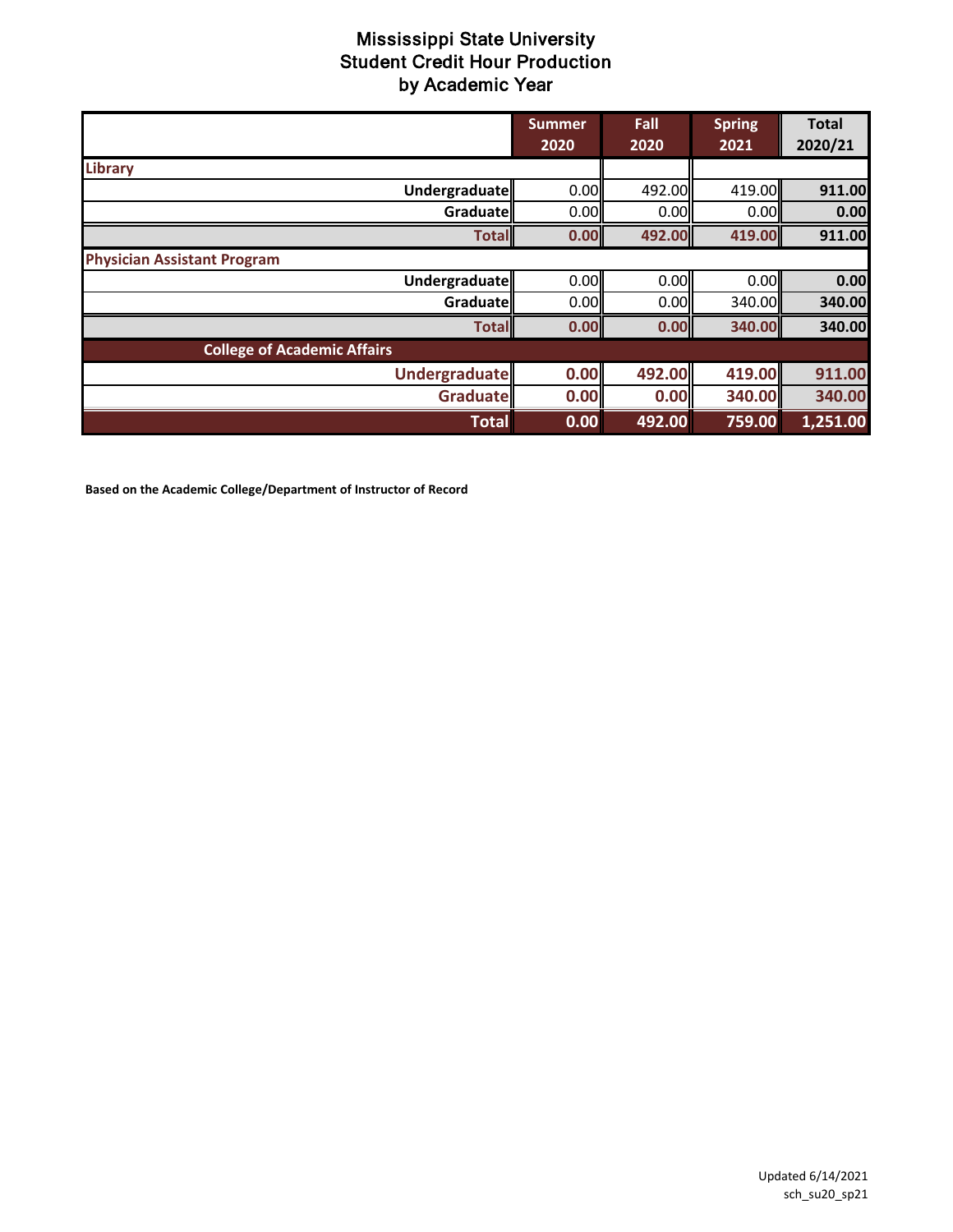|                                    | <b>Summer</b><br>2020 | Fall<br>2020 | <b>Spring</b><br>2021 | <b>Total</b><br>2020/21 |
|------------------------------------|-----------------------|--------------|-----------------------|-------------------------|
| <b>Library</b>                     |                       |              |                       |                         |
| Undergraduate                      | 0.00                  | 492.00       | 419.00                | 911.00                  |
| Graduatell                         | 0.00                  | 0.00         | 0.00                  | 0.00                    |
| <b>Total</b>                       | 0.00                  | 492.00       | 419.00                | 911.00                  |
| <b>Physician Assistant Program</b> |                       |              |                       |                         |
| <b>Undergraduate</b>               | 0.00                  | 0.00         | 0.00                  | 0.00                    |
| Graduatell                         | 0.00                  | 0.00         | 340.00II              | 340.00                  |
| <b>Total</b>                       | 0.00                  | 0.00         | 340.00                | 340.00                  |
| <b>College of Academic Affairs</b> |                       |              |                       |                         |
| <b>Undergraduate</b>               | 0.00                  | 492.00       | 419.00                | 911.00                  |
| Graduate                           | 0.00                  | 0.00         | 340.00                | 340.00                  |
| <b>Total</b>                       | 0.00                  | 492.00       | 759.00                | 1,251.00                |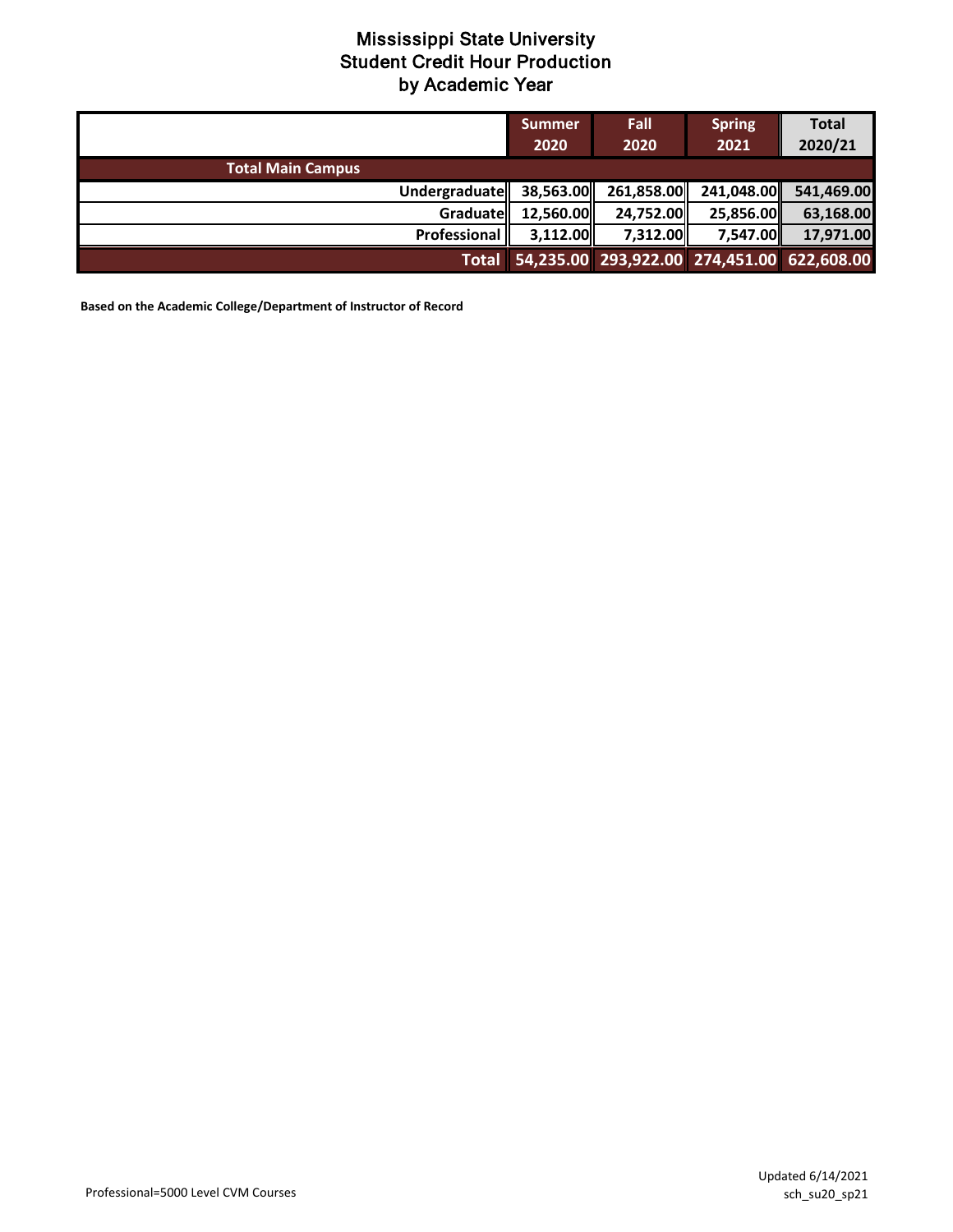|                          | <b>Summer</b><br>2020 | Fall<br>2020                                     | <b>Spring</b><br>2021 | <b>Total</b><br>2020/21 |
|--------------------------|-----------------------|--------------------------------------------------|-----------------------|-------------------------|
| <b>Total Main Campus</b> |                       |                                                  |                       |                         |
| Undergraduate            |                       | 38,563.00 261,858.00                             |                       | 241,048.00 541,469.00   |
| Graduate                 | 12,560.00             | 24,752.00                                        | 25,856.00             | 63,168.00               |
| Professional             | 3,112.00              | 7,312.00                                         | 7,547.00              | 17,971.00               |
|                          |                       | Total 54,235.00 293,922.00 274,451.00 622,608.00 |                       |                         |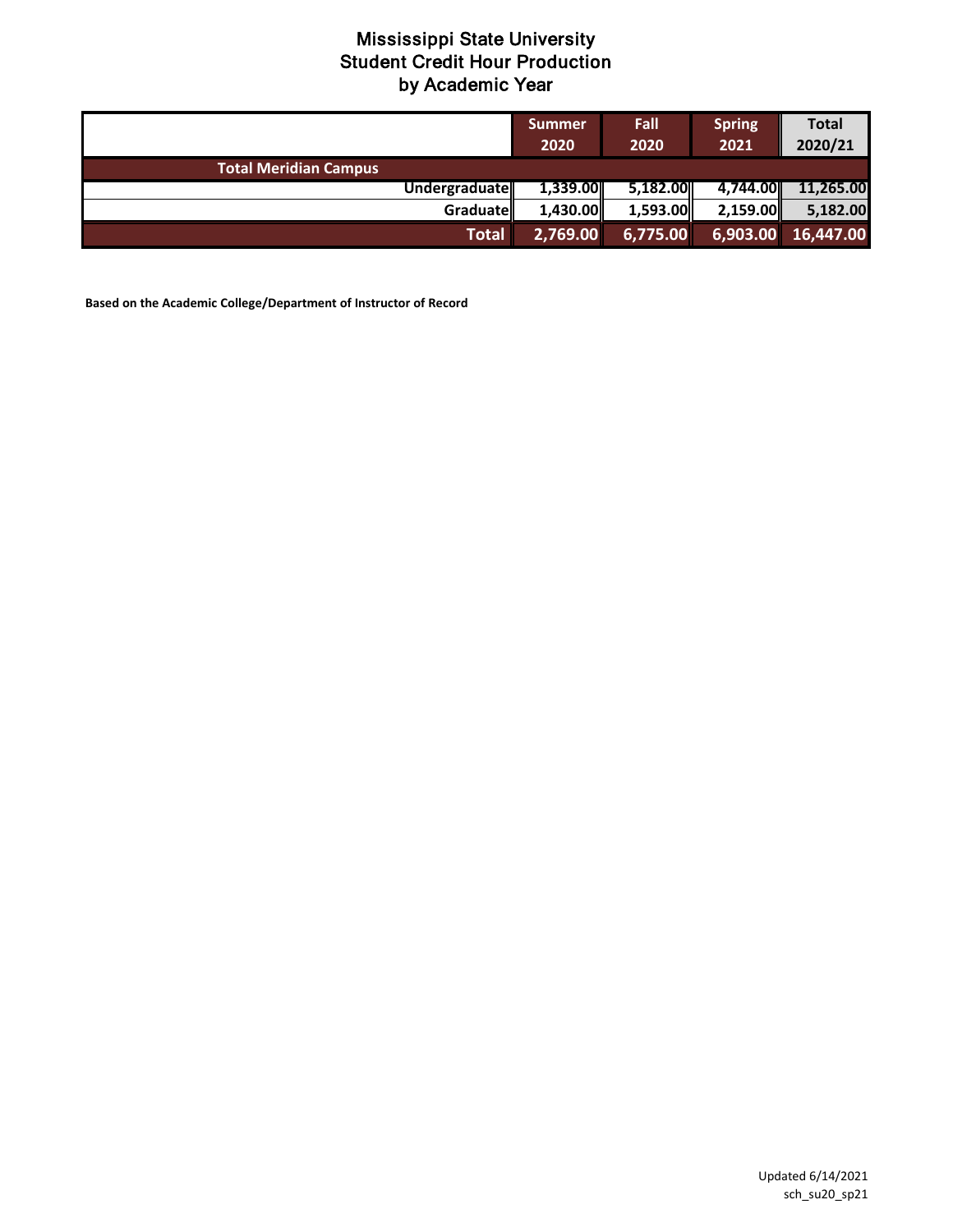|                              | <b>Summer</b><br>2020 | Fall<br>2020 | <b>Spring</b><br>2021 | <b>Total</b><br>2020/21                |
|------------------------------|-----------------------|--------------|-----------------------|----------------------------------------|
| <b>Total Meridian Campus</b> |                       |              |                       |                                        |
| Undergraduate                | 1,339.00              | 5,182.00     | 4.744.00L             | 11,265.00                              |
| Graduatell                   | 1.430.00              | 1,593.00     | 2,159.00              | 5,182.00                               |
| Total                        | 2,769.00              | 6,775.00     |                       | $\boxed{6,903.00}$ $\boxed{16,447.00}$ |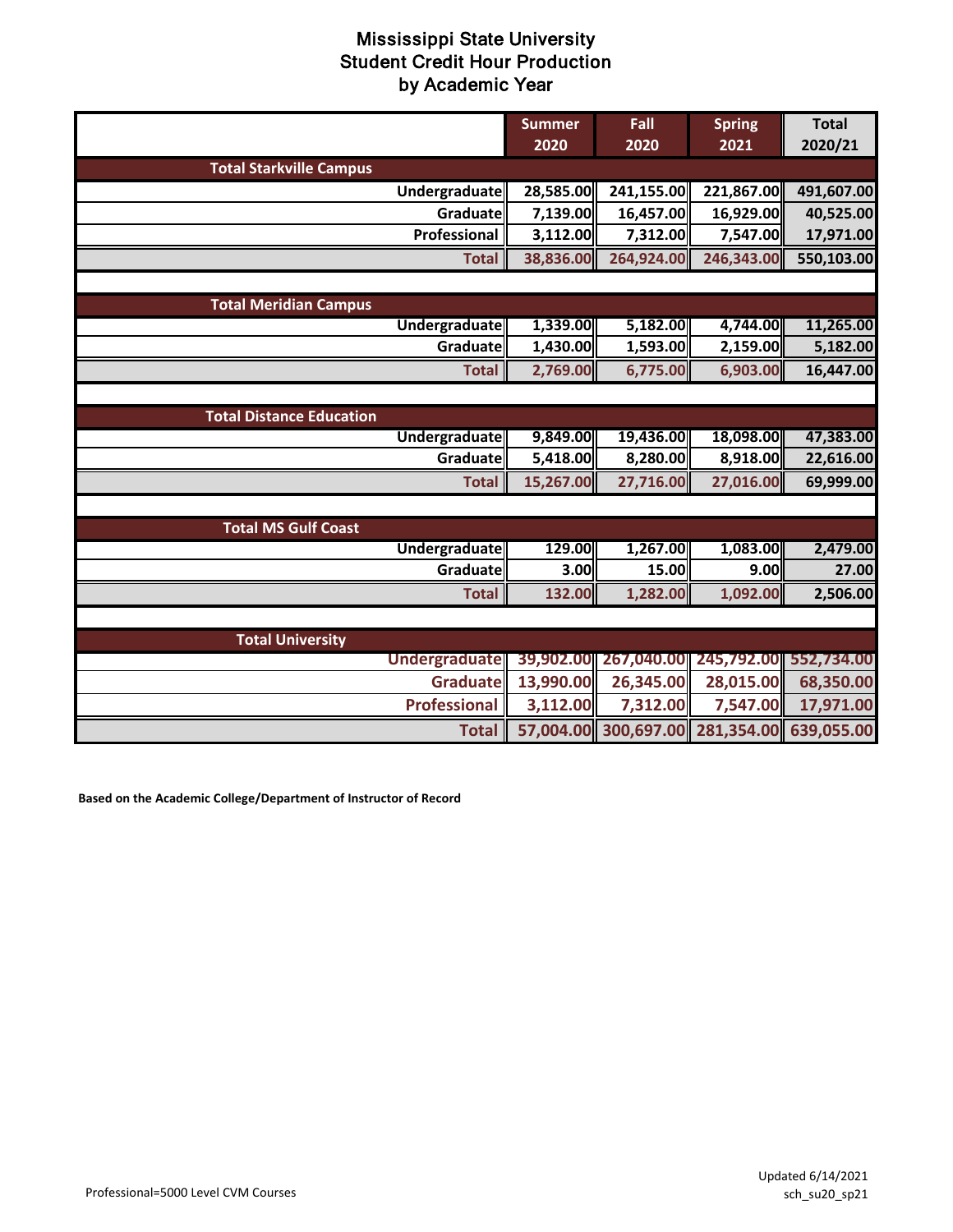|                                 | <b>Summer</b><br>2020 | Fall<br>2020         | <b>Spring</b><br>2021 | <b>Total</b><br>2020/21 |
|---------------------------------|-----------------------|----------------------|-----------------------|-------------------------|
| <b>Total Starkville Campus</b>  |                       |                      |                       |                         |
| Undergraduate                   | 28,585.00             | 241,155.00           | 221,867.00            | 491,607.00              |
| Graduate                        | 7,139.00              | 16,457.00            | 16,929.00             | 40,525.00               |
| Professional                    | 3,112.00              | 7,312.00             | 7,547.00              | 17,971.00               |
| <b>Total</b>                    | 38,836.00             | 264,924.00           | 246,343.00            | 550,103.00              |
|                                 |                       |                      |                       |                         |
| <b>Total Meridian Campus</b>    |                       |                      |                       |                         |
| <b>Undergraduate</b>            | 1,339.00              | 5,182.00             | 4,744.00              | 11,265.00               |
| Graduate                        | 1,430.00              | 1,593.00             | 2,159.00              | 5,182.00                |
| <b>Total</b>                    | 2,769.00              | 6,775.00             | 6,903.00              | 16,447.00               |
|                                 |                       |                      |                       |                         |
| <b>Total Distance Education</b> |                       |                      |                       |                         |
| <b>Undergraduate</b>            | 9,849.00              | 19,436.00            | 18,098.00             | 47,383.00               |
| Graduate                        | 5,418.00              | 8,280.00             | 8,918.00              | 22,616.00               |
| <b>Total</b>                    | 15,267.00             | 27,716.00            | 27,016.00             | 69,999.00               |
|                                 |                       |                      |                       |                         |
| <b>Total MS Gulf Coast</b>      |                       |                      |                       |                         |
| <b>Undergraduate</b>            | 129.00                | 1,267.00             | 1,083.00              | 2,479.00                |
| Graduate                        | 3.00                  | 15.00                | 9.00                  | 27.00                   |
| <b>Total</b>                    | 132.00                | 1,282.00             | 1,092.00              | 2,506.00                |
|                                 |                       |                      |                       |                         |
| <b>Total University</b>         |                       |                      |                       |                         |
| <b>Undergraduate</b>            | 39,902.00             |                      | 267,040.00 245,792.00 | 552,734.00              |
| <b>Graduate</b>                 | 13,990.00             | 26,345.00            | 28,015.00             | 68,350.00               |
| <b>Professional</b>             | 3,112.00              | 7,312.00             | 7,547.00              | 17,971.00               |
| <b>Total</b>                    |                       | 57,004.00 300,697.00 | 281,354.00            | 639,055.00              |